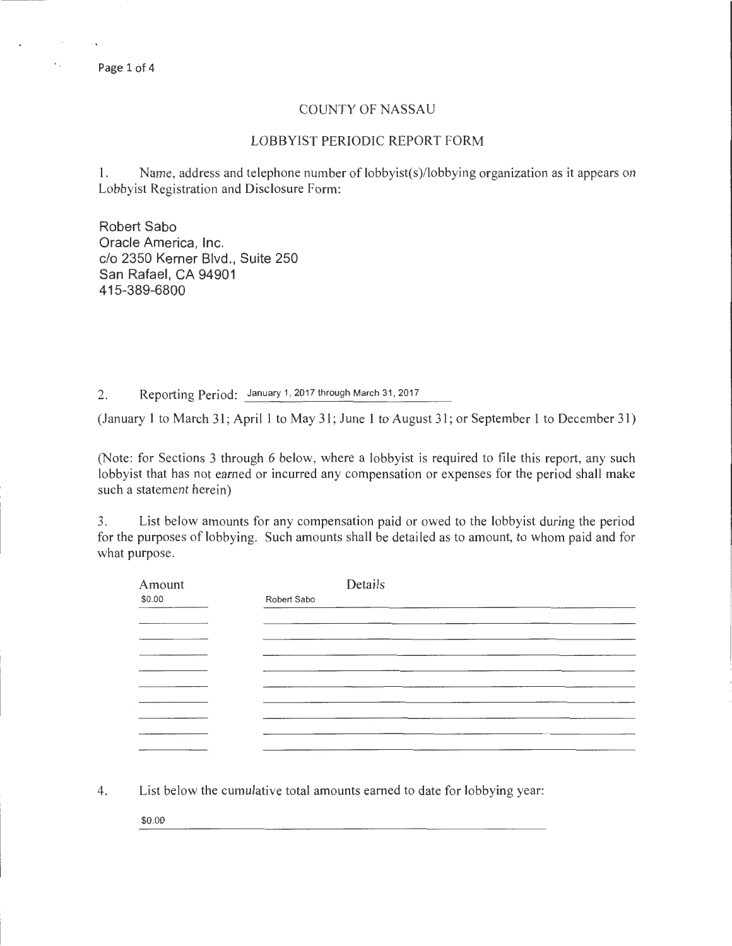Page 1 of 4

 $\mathbf{v}_{\rm in}$ 

## COUNTY OF NASSAU

## LOBBYIST PERIODIC REPORT FORM

1. Name, address and telephone number of lobbyist(s)/lobbying organization as it appears on Lobbyist Registration and Disclosure Form:

Robert Sabo Oracle America, Inc. c/o 2350 Kerner Blvd., Suite 250 San Rafael, CA 94901 415-389-6800

2. Reporting Period: January 1, 2017 through March 31, 2017

(January 1 to March 31; April 1 to May 31; June 1 to August 31; or September 1 to December 31)

(Note: for Sections 3 through 6 below, where a lobbyist is required to file this report, any such lobbyist that has not earned or incurred any compensation or expenses for the period shall make such a statement herein)

3. List below amounts for any compensation paid or owed to the lobbyist during the period for the purposes of lobbying. Such amounts shall be detailed as to amount, to whom paid and for what purpose.

| Amount                                                                                                                                                                                                                                                                                                                                                                                                                                                                     | Details     |  |  |
|----------------------------------------------------------------------------------------------------------------------------------------------------------------------------------------------------------------------------------------------------------------------------------------------------------------------------------------------------------------------------------------------------------------------------------------------------------------------------|-------------|--|--|
| \$0.00<br><b>Contract Contract Contract</b>                                                                                                                                                                                                                                                                                                                                                                                                                                | Robert Sabo |  |  |
|                                                                                                                                                                                                                                                                                                                                                                                                                                                                            |             |  |  |
|                                                                                                                                                                                                                                                                                                                                                                                                                                                                            |             |  |  |
|                                                                                                                                                                                                                                                                                                                                                                                                                                                                            |             |  |  |
| $\frac{1}{2} \left( \frac{1}{2} \right) \left( \frac{1}{2} \right) \left( \frac{1}{2} \right) \left( \frac{1}{2} \right) \left( \frac{1}{2} \right) \left( \frac{1}{2} \right) \left( \frac{1}{2} \right) \left( \frac{1}{2} \right) \left( \frac{1}{2} \right) \left( \frac{1}{2} \right) \left( \frac{1}{2} \right) \left( \frac{1}{2} \right) \left( \frac{1}{2} \right) \left( \frac{1}{2} \right) \left( \frac{1}{2} \right) \left( \frac{1}{2} \right) \left( \frac$ |             |  |  |
|                                                                                                                                                                                                                                                                                                                                                                                                                                                                            |             |  |  |
|                                                                                                                                                                                                                                                                                                                                                                                                                                                                            |             |  |  |
|                                                                                                                                                                                                                                                                                                                                                                                                                                                                            |             |  |  |
|                                                                                                                                                                                                                                                                                                                                                                                                                                                                            |             |  |  |
|                                                                                                                                                                                                                                                                                                                                                                                                                                                                            |             |  |  |
|                                                                                                                                                                                                                                                                                                                                                                                                                                                                            |             |  |  |

4. List below the cumulative total amounts earned to date for lobbying year:

\$0.00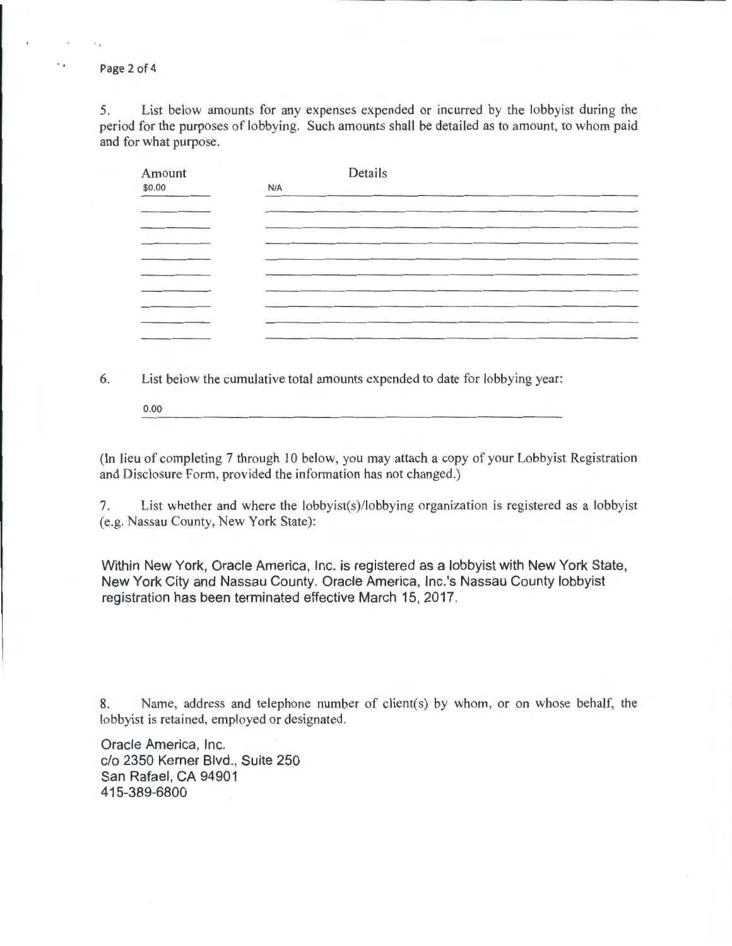Page 2 of 4

5. List below amounts for any expenses expended or incurred by the lobbyist during the period for the purposes of lobbying. Such amounts shall be detailed as to amount, to whom paid and for what purpose.

| Amount |     | Details |  |
|--------|-----|---------|--|
| \$0.00 | N/A |         |  |
|        |     |         |  |
|        |     |         |  |
|        |     |         |  |
|        |     |         |  |
|        |     |         |  |
|        |     |         |  |
|        |     |         |  |
|        |     |         |  |
|        |     |         |  |
|        |     |         |  |

6. List below the cumulative total amounts expended to date for lobbying year:

0.00

(In lieu of completing 7 through 10 below, you may attach a copy of your Lobbyist Registration and Disclosure Form, provided the information has not changed.)

7. List whether and where the lobbyist(s)/lobbying organization is registered as a lobbyist (e.g. Nassau County, New York State):

Within New York, Oracle America, Inc. is registered as a lobbyist with New York State, New York City and Nassau County. Oracle America, Inc.'s Nassau County lobbyist registration has been terminated effective March 15, 2017.

8. Name, address and telephone number of client(s) by whom, or on whose behalf, the lobbyist is retained, employed or designated.

Oracle America, Inc. c/o 2350 Kerner Blvd., Suite 250 San Rafael, CA 94901 415-389-6800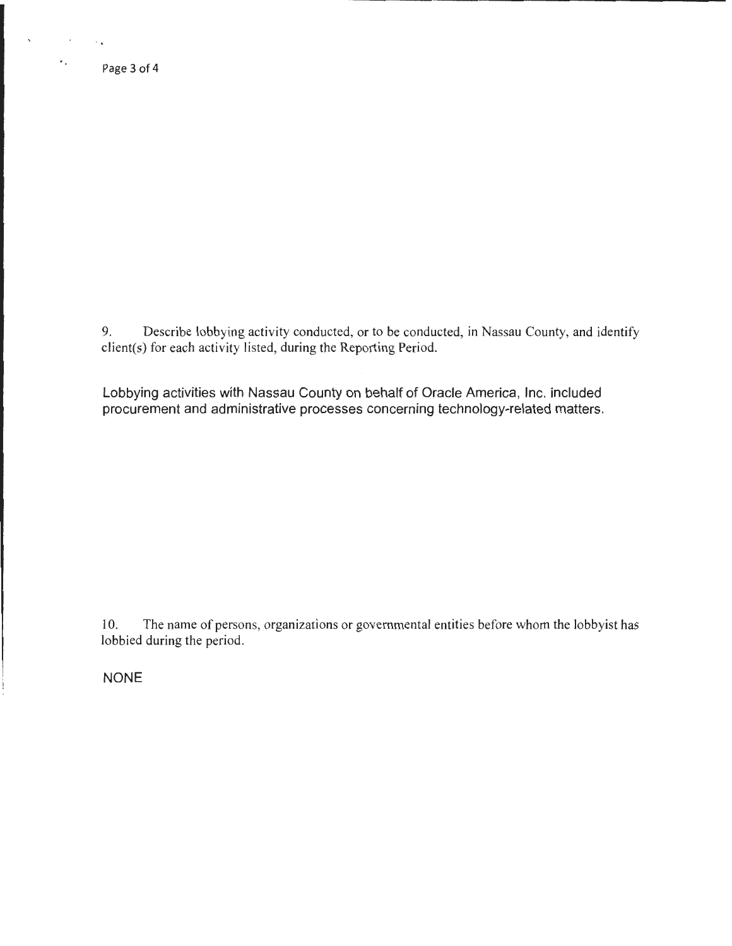Page3of4

 $\mathbf{r}$ 

 $\sim 10^{-10}$  m  $^{-1}$ 

 $\star$  .

9. Describe lobbying activity conducted, or to be conducted, in Nassau County, and identify client(s) for each activity listed, during the Reporting Period.

Lobbying activities with Nassau County on behalf of Oracle America, Inc. included procurement and administrative processes concerning technology-related matters.

10. The name of persons, organizations or governmental entities before whom the lobbyist has lobbied during the period.

NONE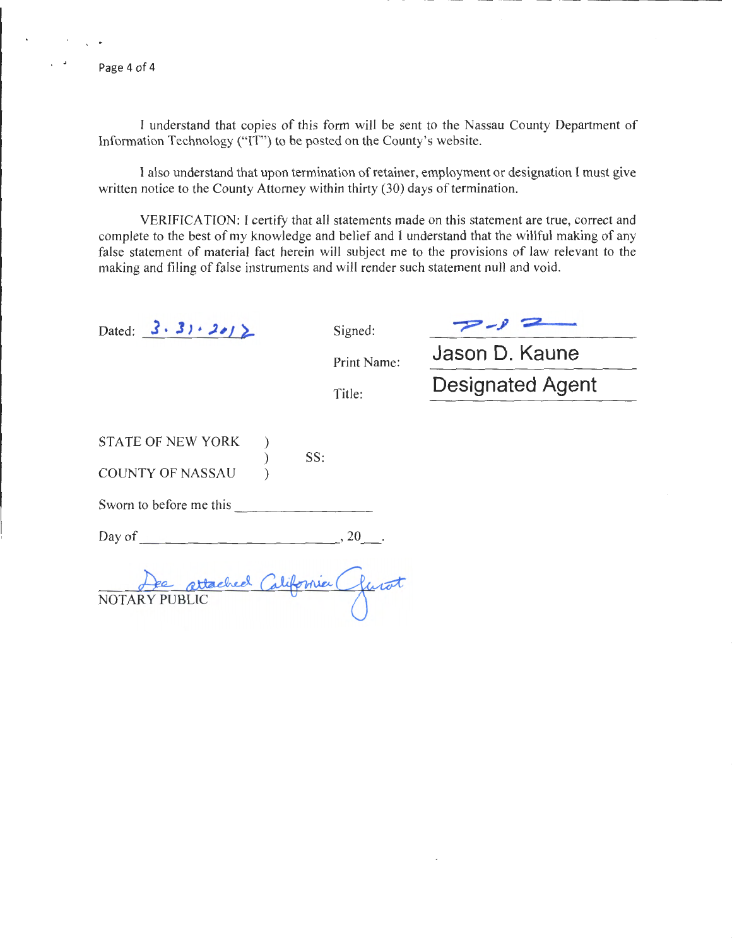Page 4 of 4

I understand that copies of this form will be sent to the Nassau County Department of Information Technology ("IT") to be posted on the County's website.

I also understand that upon termination of retainer, employment or designation I must give written notice to the County Attorney within thirty (30) days of termination.

VERIFICATION: I certify that all statements made on this statement are true, correct and complete to the best of my knowledge and belief and I understand that the willful making of any false statement of material fact herein will subject me to the provisions of law relevant to the making and filing of false instruments and will render such statement null and void.

| Dated: $3 \cdot 31 \cdot 2012$      | Signed:     |                         |  |  |  |
|-------------------------------------|-------------|-------------------------|--|--|--|
|                                     | Print Name: | Jason D. Kaune          |  |  |  |
|                                     | Title:      | <b>Designated Agent</b> |  |  |  |
|                                     |             |                         |  |  |  |
| <b>STATE OF NEW YORK</b><br>SS:     |             |                         |  |  |  |
| <b>COUNTY OF NASSAU</b>             |             |                         |  |  |  |
| Sworn to before me this             |             |                         |  |  |  |
| Day of                              | , 20        |                         |  |  |  |
| te attached California (<br>NOTARY. |             |                         |  |  |  |